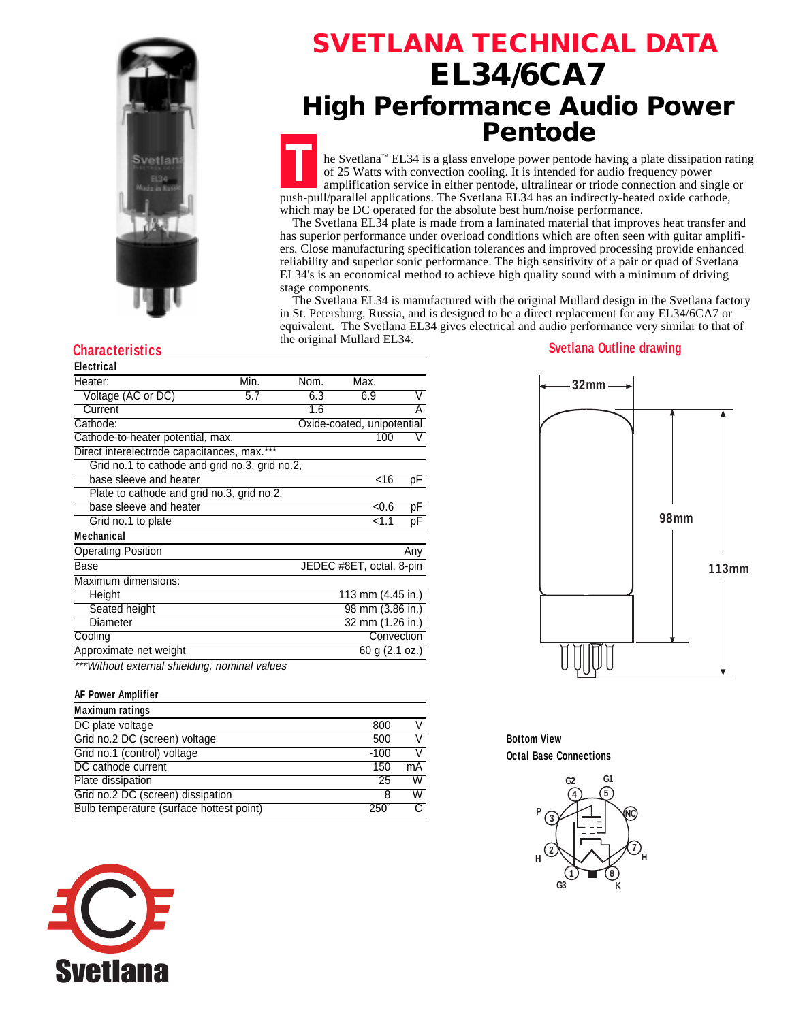

## **SVETLANA TECHNICAL DATA EL34/6CA7 High Performance Audio Power Pentode**

**T** he Svetlana™ EL34 is a glass envelope power pentode having a plate dissipation rating of 25 Watts with convection cooling. It is intended for audio frequency power amplification service in either pentode, ultralinear or triode connection and single or push-pull/parallel applications. The Svetlana EL34 has an indirectly-heated oxide cathode, which may be DC operated for the absolute best hum/noise performance.

 The Svetlana EL34 plate is made from a laminated material that improves heat transfer and has superior performance under overload conditions which are often seen with guitar amplifiers. Close manufacturing specification tolerances and improved processing provide enhanced reliability and superior sonic performance. The high sensitivity of a pair or quad of Svetlana EL34's is an economical method to achieve high quality sound with a minimum of driving stage components.

 The Svetlana EL34 is manufactured with the original Mullard design in the Svetlana factory in St. Petersburg, Russia, and is designed to be a direct replacement for any EL34/6CA7 or equivalent. The Svetlana EL34 gives electrical and audio performance very similar to that of the original Mullard EL34.

|  | <b>Electrical</b> |  |  |
|--|-------------------|--|--|
|  |                   |  |  |

| Heater:                                        | Min. | Nom.                       | Max.                     |     |  |
|------------------------------------------------|------|----------------------------|--------------------------|-----|--|
| Voltage (AC or DC)                             | 5.7  | 6.3                        | 6.9                      | V   |  |
| Current                                        |      | 1.6                        |                          | Α   |  |
| Cathode:                                       |      | Oxide-coated, unipotential |                          |     |  |
| Cathode-to-heater potential, max.              |      |                            | 100                      | V   |  |
| Direct interelectrode capacitances, max.***    |      |                            |                          |     |  |
| Grid no.1 to cathode and grid no.3, grid no.2, |      |                            |                          |     |  |
| base sleeve and heater                         |      |                            | <16                      | рF  |  |
| Plate to cathode and grid no.3, grid no.2,     |      |                            |                          |     |  |
| base sleeve and heater                         |      |                            | $-0.6$                   | pF  |  |
| Grid no.1 to plate                             |      |                            | < 1.1                    | рF  |  |
| <b>Mechanical</b>                              |      |                            |                          |     |  |
| <b>Operating Position</b>                      |      |                            |                          | Any |  |
| Base                                           |      |                            | JEDEC #8ET, octal, 8-pin |     |  |
| Maximum dimensions:                            |      |                            |                          |     |  |
| Height                                         |      |                            | 113 mm (4.45 in.)        |     |  |
| Seated height                                  |      |                            | 98 mm (3.86 in.)         |     |  |
| Diameter                                       |      |                            | 32 mm (1.26 in.)         |     |  |
| Cooling                                        |      |                            | Convection               |     |  |
| Approximate net weight                         |      |                            | 60 g (2.1 oz.)           |     |  |
| ***Without external shielding, nominal values  |      |                            |                          |     |  |

#### **AF Power Amplifier**

| <b>Maximum ratings</b>                   |               |    |
|------------------------------------------|---------------|----|
| DC plate voltage                         | 800           |    |
| Grid no.2 DC (screen) voltage            | 500           |    |
| Grid no.1 (control) voltage              | $-100$        |    |
| DC cathode current                       | 150           | mA |
| Plate dissipation                        | 25            | W  |
| Grid no.2 DC (screen) dissipation        | 8             | W  |
| Bulb temperature (surface hottest point) | $250^{\circ}$ |    |







**Bottom View Octal Base Connections**